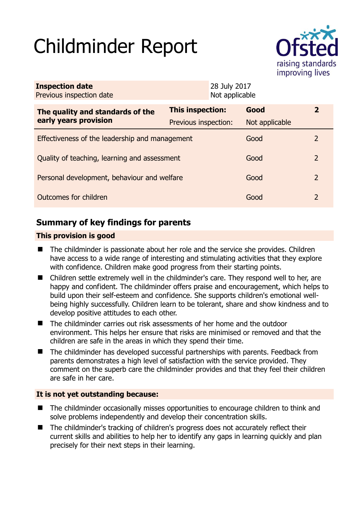# Childminder Report



| <b>Inspection date</b><br>Previous inspection date |                      | 28 July 2017<br>Not applicable |                |               |
|----------------------------------------------------|----------------------|--------------------------------|----------------|---------------|
| The quality and standards of the                   | This inspection:     |                                | Good           | $\mathbf{Z}$  |
| early years provision                              | Previous inspection: |                                | Not applicable |               |
| Effectiveness of the leadership and management     |                      |                                | Good           | $\mathcal{L}$ |
| Quality of teaching, learning and assessment       |                      |                                | Good           | $\mathcal{P}$ |
| Personal development, behaviour and welfare        |                      |                                | Good           | 2             |
| Outcomes for children                              |                      |                                | Good           | 2             |

# **Summary of key findings for parents**

## **This provision is good**

- The childminder is passionate about her role and the service she provides. Children have access to a wide range of interesting and stimulating activities that they explore with confidence. Children make good progress from their starting points.
- Children settle extremely well in the childminder's care. They respond well to her, are happy and confident. The childminder offers praise and encouragement, which helps to build upon their self-esteem and confidence. She supports children's emotional wellbeing highly successfully. Children learn to be tolerant, share and show kindness and to develop positive attitudes to each other.
- The childminder carries out risk assessments of her home and the outdoor environment. This helps her ensure that risks are minimised or removed and that the children are safe in the areas in which they spend their time.
- The childminder has developed successful partnerships with parents. Feedback from parents demonstrates a high level of satisfaction with the service provided. They comment on the superb care the childminder provides and that they feel their children are safe in her care.

## **It is not yet outstanding because:**

- The childminder occasionally misses opportunities to encourage children to think and solve problems independently and develop their concentration skills.
- The childminder's tracking of children's progress does not accurately reflect their current skills and abilities to help her to identify any gaps in learning quickly and plan precisely for their next steps in their learning.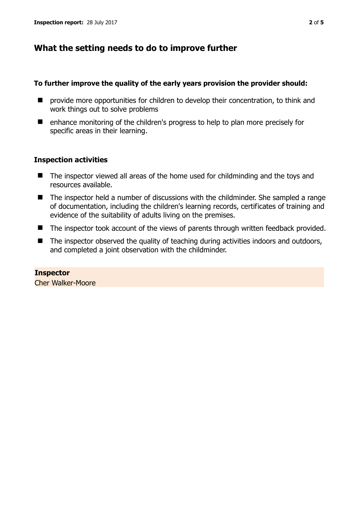## **What the setting needs to do to improve further**

## **To further improve the quality of the early years provision the provider should:**

- $\blacksquare$  provide more opportunities for children to develop their concentration, to think and work things out to solve problems
- enhance monitoring of the children's progress to help to plan more precisely for specific areas in their learning.

## **Inspection activities**

- The inspector viewed all areas of the home used for childminding and the toys and resources available.
- The inspector held a number of discussions with the childminder. She sampled a range of documentation, including the children's learning records, certificates of training and evidence of the suitability of adults living on the premises.
- The inspector took account of the views of parents through written feedback provided.
- $\blacksquare$  The inspector observed the quality of teaching during activities indoors and outdoors, and completed a joint observation with the childminder.

**Inspector**  Cher Walker-Moore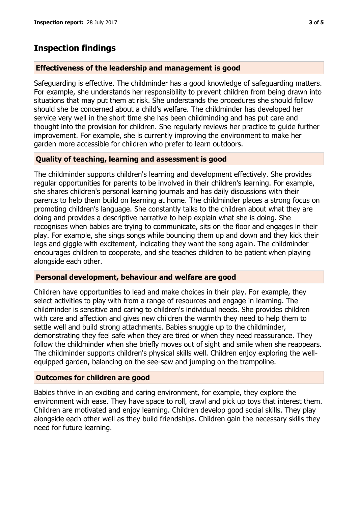## **Inspection findings**

#### **Effectiveness of the leadership and management is good**

Safeguarding is effective. The childminder has a good knowledge of safeguarding matters. For example, she understands her responsibility to prevent children from being drawn into situations that may put them at risk. She understands the procedures she should follow should she be concerned about a child's welfare. The childminder has developed her service very well in the short time she has been childminding and has put care and thought into the provision for children. She regularly reviews her practice to guide further improvement. For example, she is currently improving the environment to make her garden more accessible for children who prefer to learn outdoors.

### **Quality of teaching, learning and assessment is good**

The childminder supports children's learning and development effectively. She provides regular opportunities for parents to be involved in their children's learning. For example, she shares children's personal learning journals and has daily discussions with their parents to help them build on learning at home. The childminder places a strong focus on promoting children's language. She constantly talks to the children about what they are doing and provides a descriptive narrative to help explain what she is doing. She recognises when babies are trying to communicate, sits on the floor and engages in their play. For example, she sings songs while bouncing them up and down and they kick their legs and giggle with excitement, indicating they want the song again. The childminder encourages children to cooperate, and she teaches children to be patient when playing alongside each other.

#### **Personal development, behaviour and welfare are good**

Children have opportunities to lead and make choices in their play. For example, they select activities to play with from a range of resources and engage in learning. The childminder is sensitive and caring to children's individual needs. She provides children with care and affection and gives new children the warmth they need to help them to settle well and build strong attachments. Babies snuggle up to the childminder, demonstrating they feel safe when they are tired or when they need reassurance. They follow the childminder when she briefly moves out of sight and smile when she reappears. The childminder supports children's physical skills well. Children enjoy exploring the wellequipped garden, balancing on the see-saw and jumping on the trampoline.

#### **Outcomes for children are good**

Babies thrive in an exciting and caring environment, for example, they explore the environment with ease. They have space to roll, crawl and pick up toys that interest them. Children are motivated and enjoy learning. Children develop good social skills. They play alongside each other well as they build friendships. Children gain the necessary skills they need for future learning.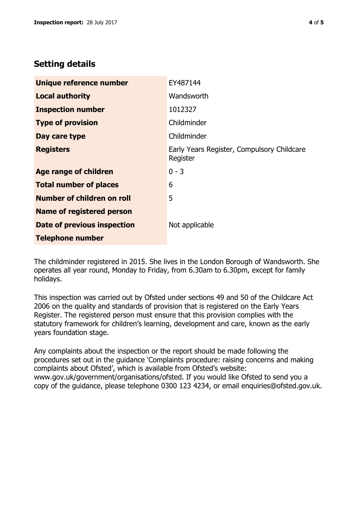# **Setting details**

| Unique reference number          | EY487144                                               |  |
|----------------------------------|--------------------------------------------------------|--|
| <b>Local authority</b>           | Wandsworth                                             |  |
| <b>Inspection number</b>         | 1012327                                                |  |
| <b>Type of provision</b>         | Childminder                                            |  |
| Day care type                    | Childminder                                            |  |
| <b>Registers</b>                 | Early Years Register, Compulsory Childcare<br>Register |  |
| <b>Age range of children</b>     | $0 - 3$                                                |  |
| <b>Total number of places</b>    | 6                                                      |  |
| Number of children on roll       | 5                                                      |  |
| <b>Name of registered person</b> |                                                        |  |
| Date of previous inspection      | Not applicable                                         |  |
| <b>Telephone number</b>          |                                                        |  |

The childminder registered in 2015. She lives in the London Borough of Wandsworth. She operates all year round, Monday to Friday, from 6.30am to 6.30pm, except for family holidays.

This inspection was carried out by Ofsted under sections 49 and 50 of the Childcare Act 2006 on the quality and standards of provision that is registered on the Early Years Register. The registered person must ensure that this provision complies with the statutory framework for children's learning, development and care, known as the early years foundation stage.

Any complaints about the inspection or the report should be made following the procedures set out in the guidance 'Complaints procedure: raising concerns and making complaints about Ofsted', which is available from Ofsted's website: www.gov.uk/government/organisations/ofsted. If you would like Ofsted to send you a copy of the guidance, please telephone 0300 123 4234, or email enquiries@ofsted.gov.uk.